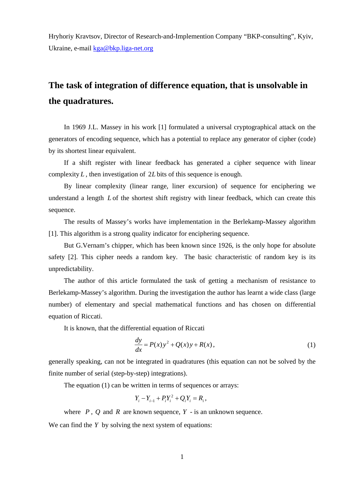Hryhoriy Kravtsov, Director of Research-and-Implemention Company "BKP-consulting", Kyiv, Ukraine, e-mail kga@bkp.liga-net.org

## **The task of integration of difference equation, that is unsolvable in the quadratures.**

In 1969 J.L. Massey in his work [1] formulated a universal cryptographical attack on the generators of encoding sequence, which has a potential to replace any generator of cipher (code) by its shortest linear equivalent.

If a shift register with linear feedback has generated a cipher sequence with linear complexity *L* , then investigation of 2*L* bits of this sequence is enough.

By linear complexity (linear range, liner excursion) of sequence for enciphering we understand a length *L* of the shortest shift registry with linear feedback, which can create this sequence.

The results of Massey's works have implementation in the Berlekamp-Massey algorithm [1]. This algorithm is a strong quality indicator for enciphering sequence.

But G.Vernam's chipper, which has been known since 1926, is the only hope for absolute safety [2]. This cipher needs a random key. The basic characteristic of random key is its unpredictability.

The author of this article formulated the task of getting a mechanism of resistance to Berlekamp-Massey's algorithm. During the investigation the author has learnt a wide class (large number) of elementary and special mathematical functions and has chosen on differential equation of Riccati.

It is known, that the differential equation of Riccati

$$
\frac{dy}{dx} = P(x)y^2 + Q(x)y + R(x),\tag{1}
$$

generally speaking, can not be integrated in quadratures (this equation can not be solved by the finite number of serial (step-by-step) integrations).

The equation (1) can be written in terms of sequences or arrays:

$$
Y_i - Y_{i-1} + P_i Y_i^2 + Q_i Y_i = R_i,
$$

where  $P$ ,  $Q$  and  $R$  are known sequence,  $Y$  - is an unknown sequence.

We can find the *Y* by solving the next system of equations: